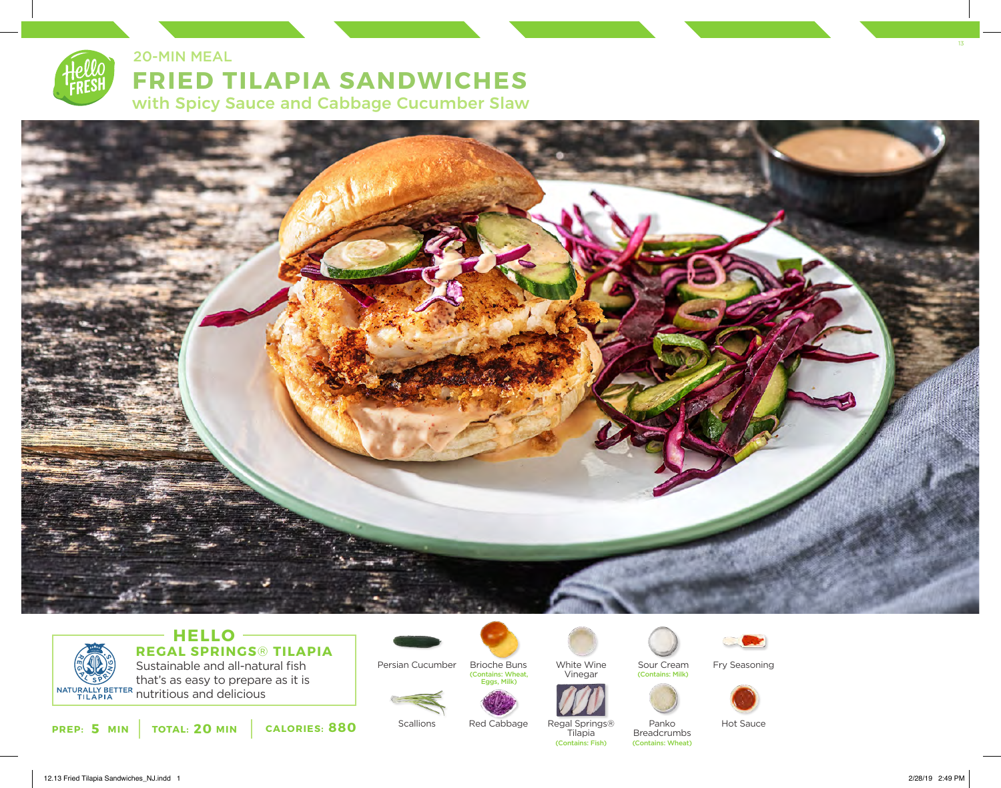

# **FRIED TILAPIA SANDWICHES** with Spicy Sauce and Cabbage Cucumber Slaw 20-MIN MEAL



# Sustainable and all-natural fish **HELLO REGAL SPRINGS**® **TILAPIA**

that's as easy to prepare as it is NATURALLY BETTER must be been to be property

**PREP: 5 MIN** | TOTAL: 20 MIN | CALORIES: 880



Brioche Buns (Contains: Wheat, Eggs, Milk)



Vinegar



Regal Springs®

White Wine

Breadcrumbs Tilapia (Contains: Fish) (Contains: Wheat)



Sour Cream

(Contains: Milk)

Panko

Fry Seasoning



Hot Sauce

12.13 Fried Tilapia Sandwiches\_NJ.indd 1 2/28/19 2:49 PM

13